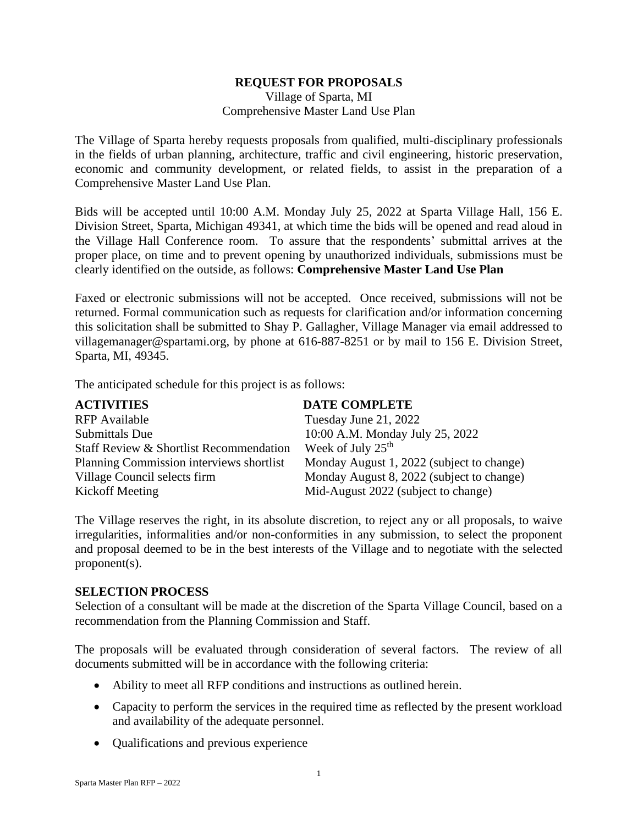# **REQUEST FOR PROPOSALS**

Village of Sparta, MI Comprehensive Master Land Use Plan

The Village of Sparta hereby requests proposals from qualified, multi-disciplinary professionals in the fields of urban planning, architecture, traffic and civil engineering, historic preservation, economic and community development, or related fields, to assist in the preparation of a Comprehensive Master Land Use Plan.

Bids will be accepted until 10:00 A.M. Monday July 25, 2022 at Sparta Village Hall, 156 E. Division Street, Sparta, Michigan 49341, at which time the bids will be opened and read aloud in the Village Hall Conference room. To assure that the respondents' submittal arrives at the proper place, on time and to prevent opening by unauthorized individuals, submissions must be clearly identified on the outside, as follows: **Comprehensive Master Land Use Plan**

Faxed or electronic submissions will not be accepted. Once received, submissions will not be returned. Formal communication such as requests for clarification and/or information concerning this solicitation shall be submitted to Shay P. Gallagher, Village Manager via email addressed to villagemanager@spartami.org, by phone at 616-887-8251 or by mail to 156 E. Division Street, Sparta, MI, 49345.

The anticipated schedule for this project is as follows:

| <b>ACTIVITIES</b>                        | <b>DATE COMPLETE</b>                      |
|------------------------------------------|-------------------------------------------|
| <b>RFP</b> Available                     | Tuesday June 21, 2022                     |
| Submittals Due                           | 10:00 A.M. Monday July 25, 2022           |
| Staff Review & Shortlist Recommendation  | Week of July 25 <sup>th</sup>             |
| Planning Commission interviews shortlist | Monday August 1, 2022 (subject to change) |
| Village Council selects firm             | Monday August 8, 2022 (subject to change) |
| Kickoff Meeting                          | Mid-August 2022 (subject to change)       |

The Village reserves the right, in its absolute discretion, to reject any or all proposals, to waive irregularities, informalities and/or non-conformities in any submission, to select the proponent and proposal deemed to be in the best interests of the Village and to negotiate with the selected proponent(s).

### **SELECTION PROCESS**

Selection of a consultant will be made at the discretion of the Sparta Village Council, based on a recommendation from the Planning Commission and Staff.

The proposals will be evaluated through consideration of several factors. The review of all documents submitted will be in accordance with the following criteria:

- Ability to meet all RFP conditions and instructions as outlined herein.
- Capacity to perform the services in the required time as reflected by the present workload and availability of the adequate personnel.
- Qualifications and previous experience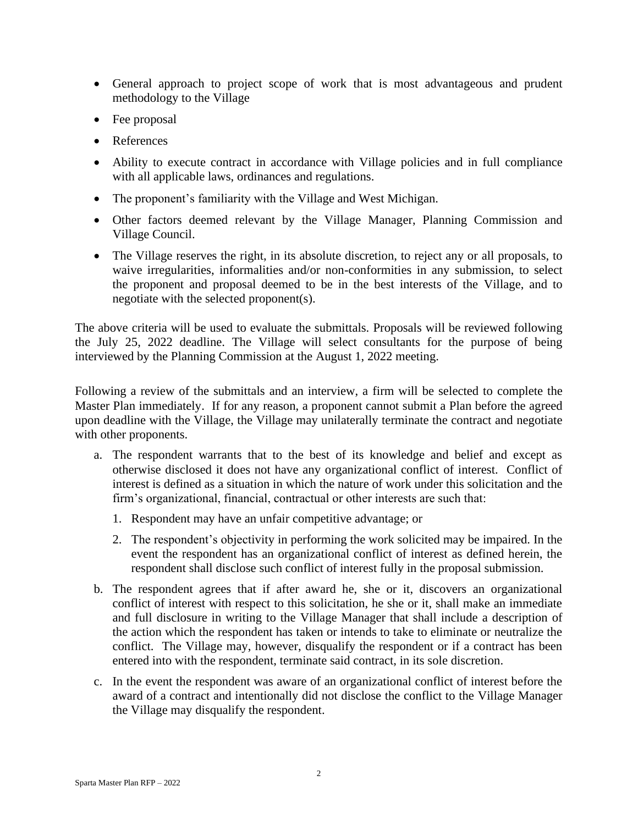- General approach to project scope of work that is most advantageous and prudent methodology to the Village
- Fee proposal
- References
- Ability to execute contract in accordance with Village policies and in full compliance with all applicable laws, ordinances and regulations.
- The proponent's familiarity with the Village and West Michigan.
- Other factors deemed relevant by the Village Manager, Planning Commission and Village Council.
- The Village reserves the right, in its absolute discretion, to reject any or all proposals, to waive irregularities, informalities and/or non-conformities in any submission, to select the proponent and proposal deemed to be in the best interests of the Village, and to negotiate with the selected proponent(s).

The above criteria will be used to evaluate the submittals. Proposals will be reviewed following the July 25, 2022 deadline. The Village will select consultants for the purpose of being interviewed by the Planning Commission at the August 1, 2022 meeting.

Following a review of the submittals and an interview, a firm will be selected to complete the Master Plan immediately. If for any reason, a proponent cannot submit a Plan before the agreed upon deadline with the Village, the Village may unilaterally terminate the contract and negotiate with other proponents.

- a. The respondent warrants that to the best of its knowledge and belief and except as otherwise disclosed it does not have any organizational conflict of interest. Conflict of interest is defined as a situation in which the nature of work under this solicitation and the firm's organizational, financial, contractual or other interests are such that:
	- 1. Respondent may have an unfair competitive advantage; or
	- 2. The respondent's objectivity in performing the work solicited may be impaired. In the event the respondent has an organizational conflict of interest as defined herein, the respondent shall disclose such conflict of interest fully in the proposal submission.
- b. The respondent agrees that if after award he, she or it, discovers an organizational conflict of interest with respect to this solicitation, he she or it, shall make an immediate and full disclosure in writing to the Village Manager that shall include a description of the action which the respondent has taken or intends to take to eliminate or neutralize the conflict. The Village may, however, disqualify the respondent or if a contract has been entered into with the respondent, terminate said contract, in its sole discretion.
- c. In the event the respondent was aware of an organizational conflict of interest before the award of a contract and intentionally did not disclose the conflict to the Village Manager the Village may disqualify the respondent.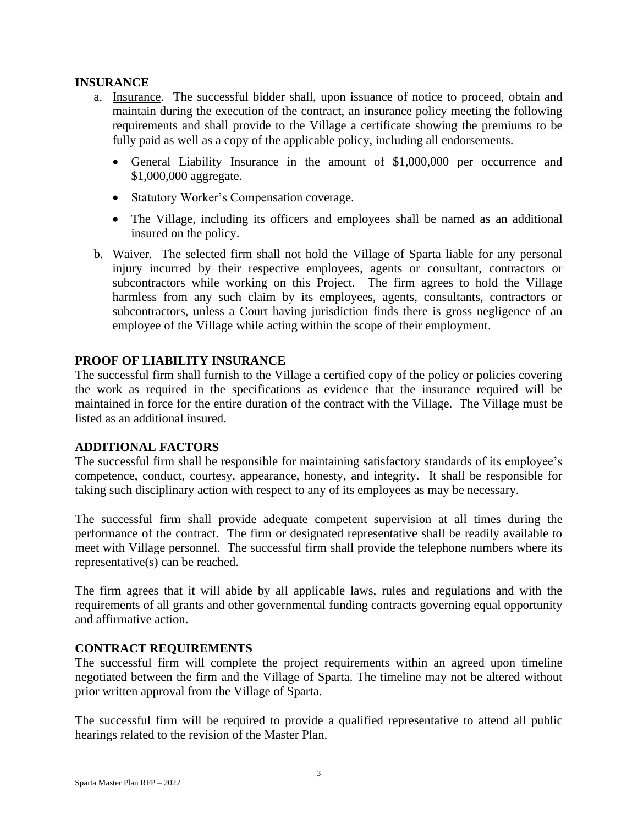### **INSURANCE**

- a. Insurance. The successful bidder shall, upon issuance of notice to proceed, obtain and maintain during the execution of the contract, an insurance policy meeting the following requirements and shall provide to the Village a certificate showing the premiums to be fully paid as well as a copy of the applicable policy, including all endorsements.
	- General Liability Insurance in the amount of \$1,000,000 per occurrence and \$1,000,000 aggregate.
	- Statutory Worker's Compensation coverage.
	- The Village, including its officers and employees shall be named as an additional insured on the policy.
- b. Waiver. The selected firm shall not hold the Village of Sparta liable for any personal injury incurred by their respective employees, agents or consultant, contractors or subcontractors while working on this Project. The firm agrees to hold the Village harmless from any such claim by its employees, agents, consultants, contractors or subcontractors, unless a Court having jurisdiction finds there is gross negligence of an employee of the Village while acting within the scope of their employment.

# **PROOF OF LIABILITY INSURANCE**

The successful firm shall furnish to the Village a certified copy of the policy or policies covering the work as required in the specifications as evidence that the insurance required will be maintained in force for the entire duration of the contract with the Village. The Village must be listed as an additional insured.

# **ADDITIONAL FACTORS**

The successful firm shall be responsible for maintaining satisfactory standards of its employee's competence, conduct, courtesy, appearance, honesty, and integrity. It shall be responsible for taking such disciplinary action with respect to any of its employees as may be necessary.

The successful firm shall provide adequate competent supervision at all times during the performance of the contract. The firm or designated representative shall be readily available to meet with Village personnel. The successful firm shall provide the telephone numbers where its representative(s) can be reached.

The firm agrees that it will abide by all applicable laws, rules and regulations and with the requirements of all grants and other governmental funding contracts governing equal opportunity and affirmative action.

# **CONTRACT REQUIREMENTS**

The successful firm will complete the project requirements within an agreed upon timeline negotiated between the firm and the Village of Sparta. The timeline may not be altered without prior written approval from the Village of Sparta.

The successful firm will be required to provide a qualified representative to attend all public hearings related to the revision of the Master Plan.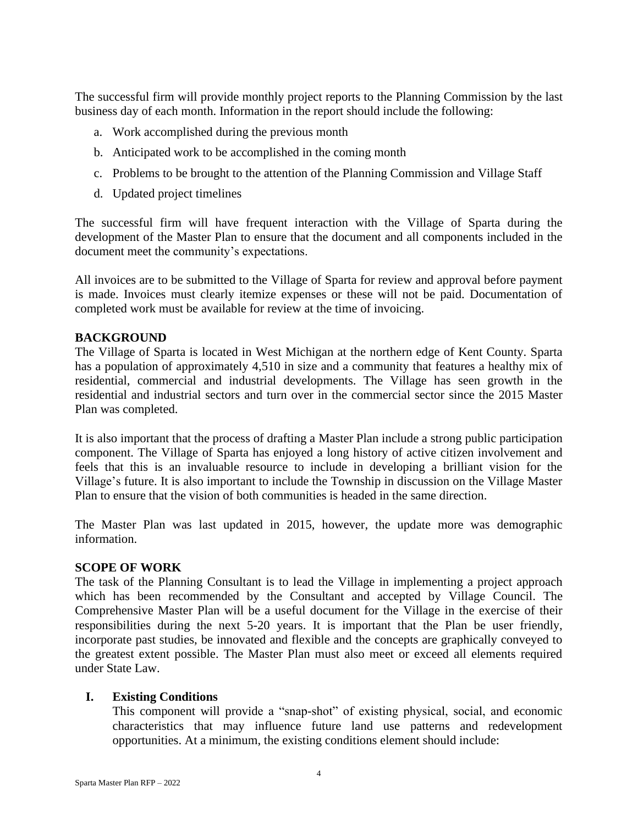The successful firm will provide monthly project reports to the Planning Commission by the last business day of each month. Information in the report should include the following:

- a. Work accomplished during the previous month
- b. Anticipated work to be accomplished in the coming month
- c. Problems to be brought to the attention of the Planning Commission and Village Staff
- d. Updated project timelines

The successful firm will have frequent interaction with the Village of Sparta during the development of the Master Plan to ensure that the document and all components included in the document meet the community's expectations.

All invoices are to be submitted to the Village of Sparta for review and approval before payment is made. Invoices must clearly itemize expenses or these will not be paid. Documentation of completed work must be available for review at the time of invoicing.

# **BACKGROUND**

The Village of Sparta is located in West Michigan at the northern edge of Kent County. Sparta has a population of approximately 4,510 in size and a community that features a healthy mix of residential, commercial and industrial developments. The Village has seen growth in the residential and industrial sectors and turn over in the commercial sector since the 2015 Master Plan was completed.

It is also important that the process of drafting a Master Plan include a strong public participation component. The Village of Sparta has enjoyed a long history of active citizen involvement and feels that this is an invaluable resource to include in developing a brilliant vision for the Village's future. It is also important to include the Township in discussion on the Village Master Plan to ensure that the vision of both communities is headed in the same direction.

The Master Plan was last updated in 2015, however, the update more was demographic information.

# **SCOPE OF WORK**

The task of the Planning Consultant is to lead the Village in implementing a project approach which has been recommended by the Consultant and accepted by Village Council. The Comprehensive Master Plan will be a useful document for the Village in the exercise of their responsibilities during the next 5-20 years. It is important that the Plan be user friendly, incorporate past studies, be innovated and flexible and the concepts are graphically conveyed to the greatest extent possible. The Master Plan must also meet or exceed all elements required under State Law.

# **I. Existing Conditions**

This component will provide a "snap-shot" of existing physical, social, and economic characteristics that may influence future land use patterns and redevelopment opportunities. At a minimum, the existing conditions element should include: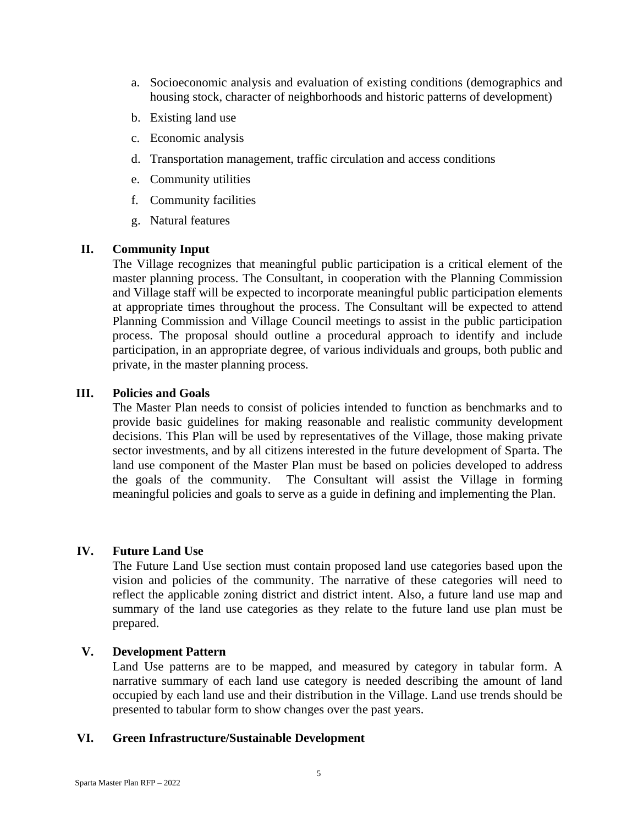- a. Socioeconomic analysis and evaluation of existing conditions (demographics and housing stock, character of neighborhoods and historic patterns of development)
- b. Existing land use
- c. Economic analysis
- d. Transportation management, traffic circulation and access conditions
- e. Community utilities
- f. Community facilities
- g. Natural features

#### **II. Community Input**

The Village recognizes that meaningful public participation is a critical element of the master planning process. The Consultant, in cooperation with the Planning Commission and Village staff will be expected to incorporate meaningful public participation elements at appropriate times throughout the process. The Consultant will be expected to attend Planning Commission and Village Council meetings to assist in the public participation process. The proposal should outline a procedural approach to identify and include participation, in an appropriate degree, of various individuals and groups, both public and private, in the master planning process.

#### **III. Policies and Goals**

The Master Plan needs to consist of policies intended to function as benchmarks and to provide basic guidelines for making reasonable and realistic community development decisions. This Plan will be used by representatives of the Village, those making private sector investments, and by all citizens interested in the future development of Sparta. The land use component of the Master Plan must be based on policies developed to address the goals of the community. The Consultant will assist the Village in forming meaningful policies and goals to serve as a guide in defining and implementing the Plan.

### **IV. Future Land Use**

The Future Land Use section must contain proposed land use categories based upon the vision and policies of the community. The narrative of these categories will need to reflect the applicable zoning district and district intent. Also, a future land use map and summary of the land use categories as they relate to the future land use plan must be prepared.

#### **V. Development Pattern**

Land Use patterns are to be mapped, and measured by category in tabular form. A narrative summary of each land use category is needed describing the amount of land occupied by each land use and their distribution in the Village. Land use trends should be presented to tabular form to show changes over the past years.

#### **VI. Green Infrastructure/Sustainable Development**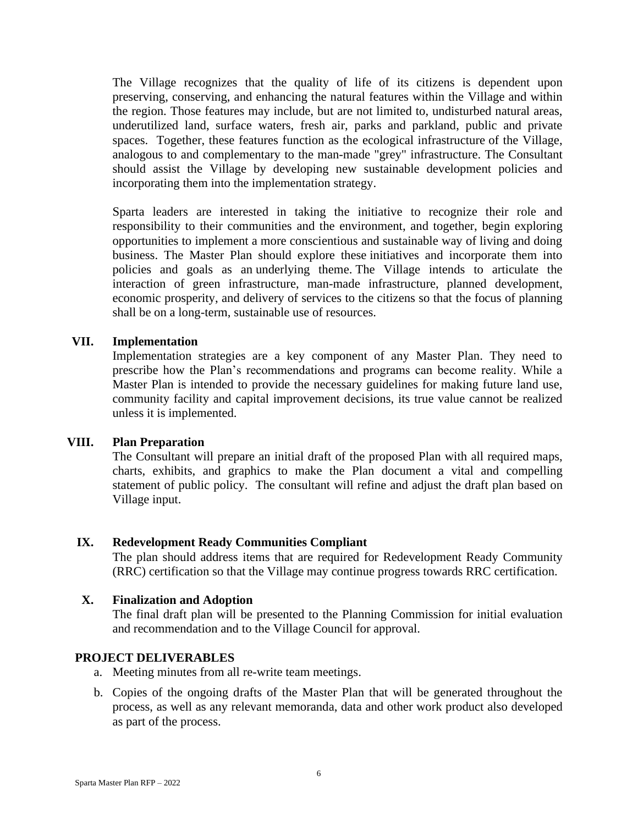The Village recognizes that the quality of life of its citizens is dependent upon preserving, conserving, and enhancing the natural features within the Village and within the region. Those features may include, but are not limited to, undisturbed natural areas, underutilized land, surface waters, fresh air, parks and parkland, public and private spaces. Together, these features function as the ecological infrastructure of the Village, analogous to and complementary to the man-made "grey" infrastructure. The Consultant should assist the Village by developing new sustainable development policies and incorporating them into the implementation strategy.

Sparta leaders are interested in taking the initiative to recognize their role and responsibility to their communities and the environment, and together, begin exploring opportunities to implement a more conscientious and sustainable way of living and doing business. The Master Plan should explore these initiatives and incorporate them into policies and goals as an underlying theme. The Village intends to articulate the interaction of green infrastructure, man-made infrastructure, planned development, economic prosperity, and delivery of services to the citizens so that the focus of planning shall be on a long-term, sustainable use of resources.

# **VII. Implementation**

Implementation strategies are a key component of any Master Plan. They need to prescribe how the Plan's recommendations and programs can become reality. While a Master Plan is intended to provide the necessary guidelines for making future land use, community facility and capital improvement decisions, its true value cannot be realized unless it is implemented.

# **VIII. Plan Preparation**

The Consultant will prepare an initial draft of the proposed Plan with all required maps, charts, exhibits, and graphics to make the Plan document a vital and compelling statement of public policy. The consultant will refine and adjust the draft plan based on Village input.

# **IX. Redevelopment Ready Communities Compliant**

The plan should address items that are required for Redevelopment Ready Community (RRC) certification so that the Village may continue progress towards RRC certification.

### **X. Finalization and Adoption**

The final draft plan will be presented to the Planning Commission for initial evaluation and recommendation and to the Village Council for approval.

### **PROJECT DELIVERABLES**

- a. Meeting minutes from all re-write team meetings.
- b. Copies of the ongoing drafts of the Master Plan that will be generated throughout the process, as well as any relevant memoranda, data and other work product also developed as part of the process.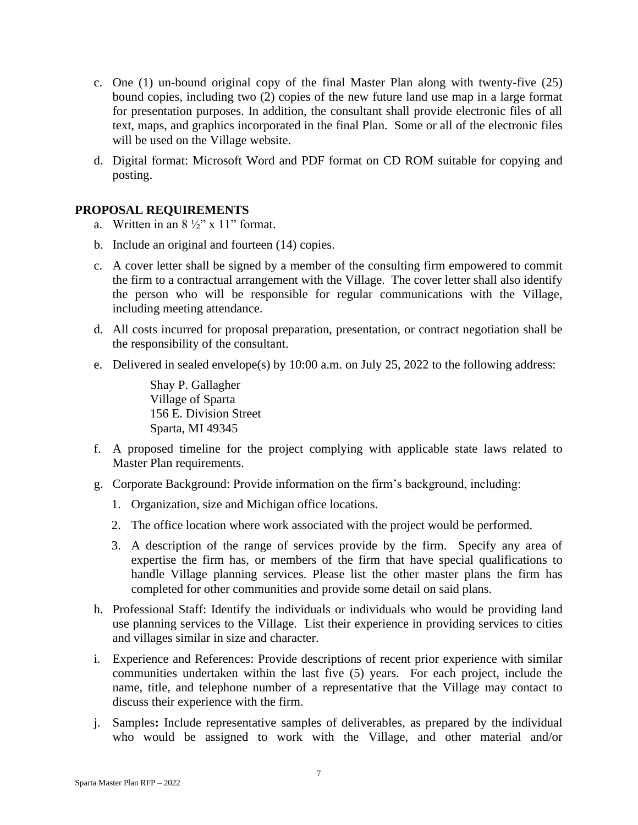- c. One (1) un-bound original copy of the final Master Plan along with twenty-five (25) bound copies, including two (2) copies of the new future land use map in a large format for presentation purposes. In addition, the consultant shall provide electronic files of all text, maps, and graphics incorporated in the final Plan. Some or all of the electronic files will be used on the Village website.
- d. Digital format: Microsoft Word and PDF format on CD ROM suitable for copying and posting.

# **PROPOSAL REQUIREMENTS**

- a. Written in an  $8\frac{1}{2}$ " x 11" format.
- b. Include an original and fourteen (14) copies.
- c. A cover letter shall be signed by a member of the consulting firm empowered to commit the firm to a contractual arrangement with the Village. The cover letter shall also identify the person who will be responsible for regular communications with the Village, including meeting attendance.
- d. All costs incurred for proposal preparation, presentation, or contract negotiation shall be the responsibility of the consultant.
- e. Delivered in sealed envelope(s) by 10:00 a.m. on July 25, 2022 to the following address:

Shay P. Gallagher Village of Sparta 156 E. Division Street Sparta, MI 49345

- f. A proposed timeline for the project complying with applicable state laws related to Master Plan requirements.
- g. Corporate Background: Provide information on the firm's background, including:
	- 1. Organization, size and Michigan office locations.
	- 2. The office location where work associated with the project would be performed.
	- 3. A description of the range of services provide by the firm. Specify any area of expertise the firm has, or members of the firm that have special qualifications to handle Village planning services. Please list the other master plans the firm has completed for other communities and provide some detail on said plans.
- h. Professional Staff: Identify the individuals or individuals who would be providing land use planning services to the Village. List their experience in providing services to cities and villages similar in size and character.
- i. Experience and References: Provide descriptions of recent prior experience with similar communities undertaken within the last five (5) years. For each project, include the name, title, and telephone number of a representative that the Village may contact to discuss their experience with the firm.
- j. Samples**:** Include representative samples of deliverables, as prepared by the individual who would be assigned to work with the Village, and other material and/or